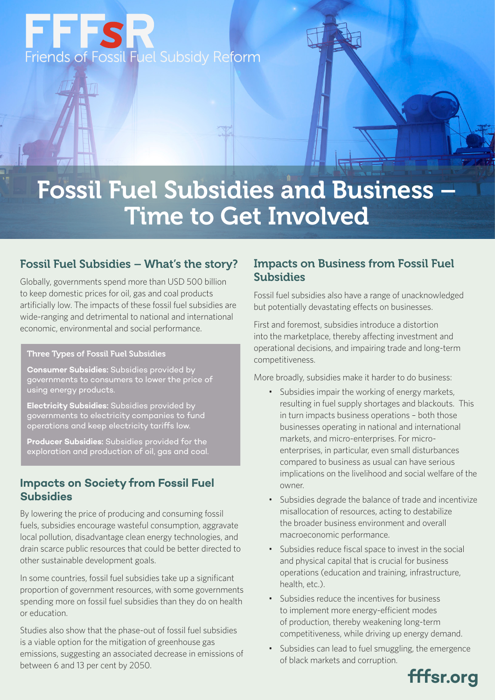

# Fossil Fuel Subsidies and Business – Time to Get Involved

## Fossil Fuel Subsidies – What's the story?

Globally, governments spend more than USD 500 billion to keep domestic prices for oil, gas and coal products artificially low. The impacts of these fossil fuel subsidies are wide-ranging and detrimental to national and international economic, environmental and social performance.

#### Three Types of Fossil Fuel Subsidies

**Consumer Subsidies:** Subsidies provided by governments to consumers to lower the price of using energy products.

**Electricity Subsidies:** Subsidies provided by governments to electricity companies to fund operations and keep electricity tariffs low.

**Producer Subsidies:** Subsidies provided for the exploration and production of oil, gas and coal.

## **Impacts on Society from Fossil Fuel Subsidies**

By lowering the price of producing and consuming fossil fuels, subsidies encourage wasteful consumption, aggravate local pollution, disadvantage clean energy technologies, and drain scarce public resources that could be better directed to other sustainable development goals.

In some countries, fossil fuel subsidies take up a significant proportion of government resources, with some governments spending more on fossil fuel subsidies than they do on health or education.

Studies also show that the phase-out of fossil fuel subsidies is a viable option for the mitigation of greenhouse gas emissions, suggesting an associated decrease in emissions of between 6 and 13 per cent by 2050.

## Impacts on Business from Fossil Fuel **Subsidies**

Fossil fuel subsidies also have a range of unacknowledged but potentially devastating effects on businesses.

First and foremost, subsidies introduce a distortion into the marketplace, thereby affecting investment and operational decisions, and impairing trade and long-term competitiveness.

More broadly, subsidies make it harder to do business:

- Subsidies impair the working of energy markets, resulting in fuel supply shortages and blackouts. This in turn impacts business operations – both those businesses operating in national and international markets, and micro-enterprises. For microenterprises, in particular, even small disturbances compared to business as usual can have serious implications on the livelihood and social welfare of the owner.
- Subsidies degrade the balance of trade and incentivize misallocation of resources, acting to destabilize the broader business environment and overall macroeconomic performance.
- Subsidies reduce fiscal space to invest in the social and physical capital that is crucial for business operations (education and training, infrastructure, health, etc.).
- Subsidies reduce the incentives for business to implement more energy-efficient modes of production, thereby weakening long-term competitiveness, while driving up energy demand.
- Subsidies can lead to fuel smuggling, the emergence of black markets and corruption.